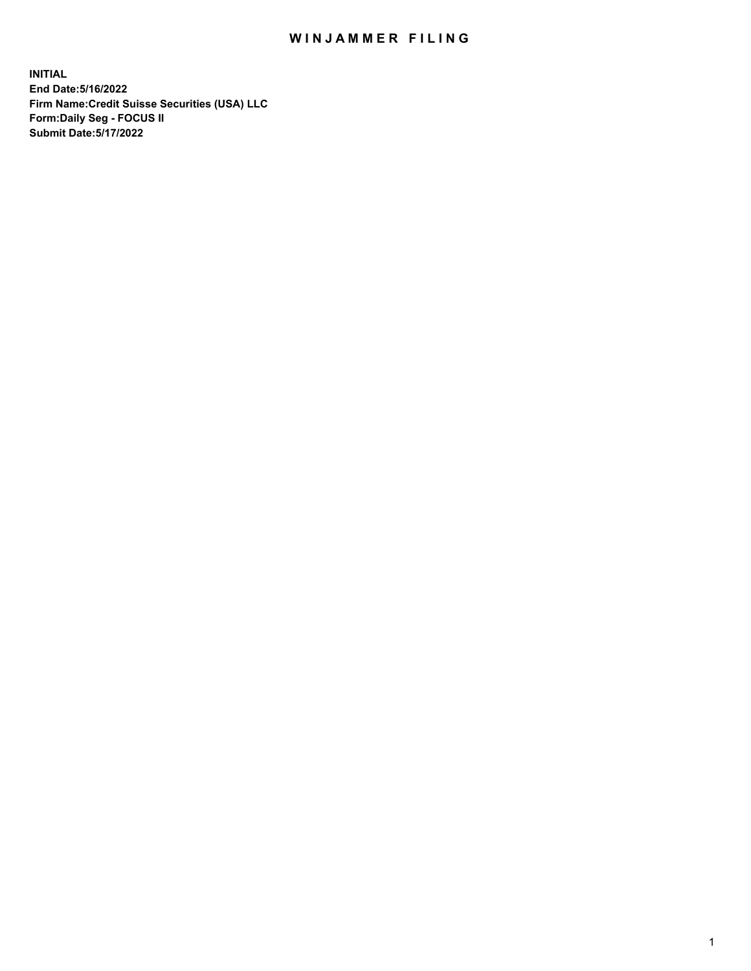## WIN JAMMER FILING

**INITIAL End Date:5/16/2022 Firm Name:Credit Suisse Securities (USA) LLC Form:Daily Seg - FOCUS II Submit Date:5/17/2022**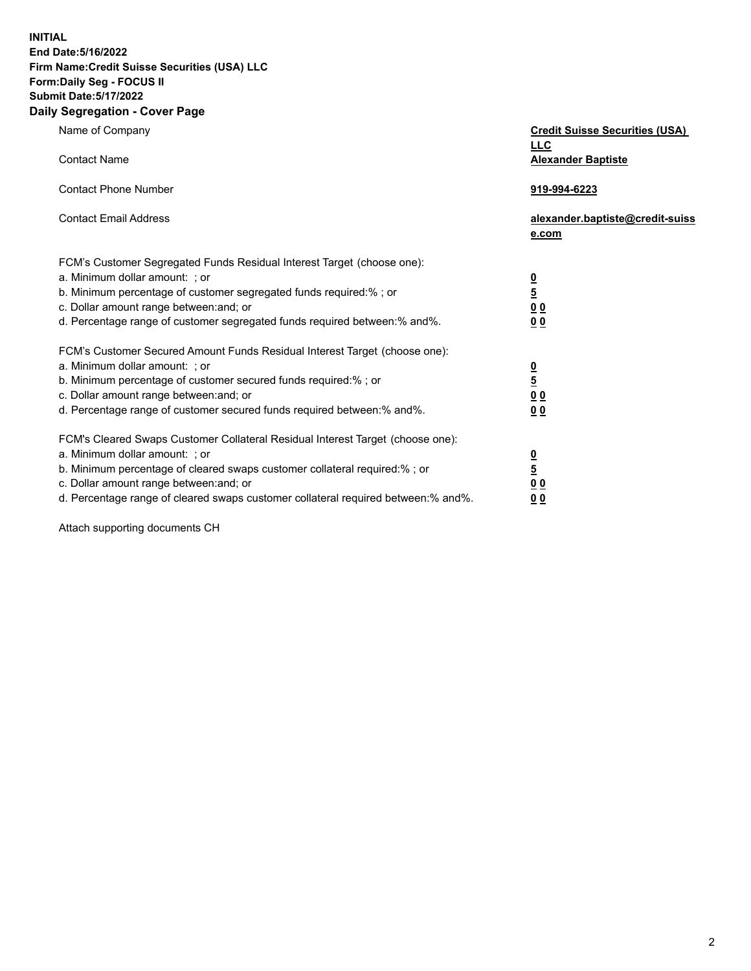**INITIAL**

## **End Date:5/16/2022 Firm Name:Credit Suisse Securities (USA) LLC Form:Daily Seg - FOCUS II Submit Date:5/17/2022**

## **Daily Segregation - Cover Page**

| Name of Company<br><b>Contact Name</b>                                                                                                                                                                                                                                                                                         | <b>Credit Suisse Securities (USA)</b><br><u>LLC</u><br><b>Alexander Baptiste</b> |
|--------------------------------------------------------------------------------------------------------------------------------------------------------------------------------------------------------------------------------------------------------------------------------------------------------------------------------|----------------------------------------------------------------------------------|
| <b>Contact Phone Number</b>                                                                                                                                                                                                                                                                                                    | 919-994-6223                                                                     |
| <b>Contact Email Address</b>                                                                                                                                                                                                                                                                                                   | alexander.baptiste@credit-suiss<br>e.com                                         |
| FCM's Customer Segregated Funds Residual Interest Target (choose one):<br>a. Minimum dollar amount: ; or<br>b. Minimum percentage of customer segregated funds required:% ; or<br>c. Dollar amount range between: and; or<br>d. Percentage range of customer segregated funds required between: % and %.                       | $\frac{0}{\frac{5}{0}}$<br>0 <sub>0</sub>                                        |
| FCM's Customer Secured Amount Funds Residual Interest Target (choose one):<br>a. Minimum dollar amount: ; or<br>b. Minimum percentage of customer secured funds required:%; or<br>c. Dollar amount range between: and; or<br>d. Percentage range of customer secured funds required between:% and%.                            | $\frac{\frac{0}{5}}{\frac{0}{0}}$<br>0 <sub>0</sub>                              |
| FCM's Cleared Swaps Customer Collateral Residual Interest Target (choose one):<br>a. Minimum dollar amount: ; or<br>b. Minimum percentage of cleared swaps customer collateral required:% ; or<br>c. Dollar amount range between: and; or<br>d. Percentage range of cleared swaps customer collateral required between:% and%. | $\frac{0}{5}$<br>$\underline{0}$ $\underline{0}$<br>0 <sub>0</sub>               |

Attach supporting documents CH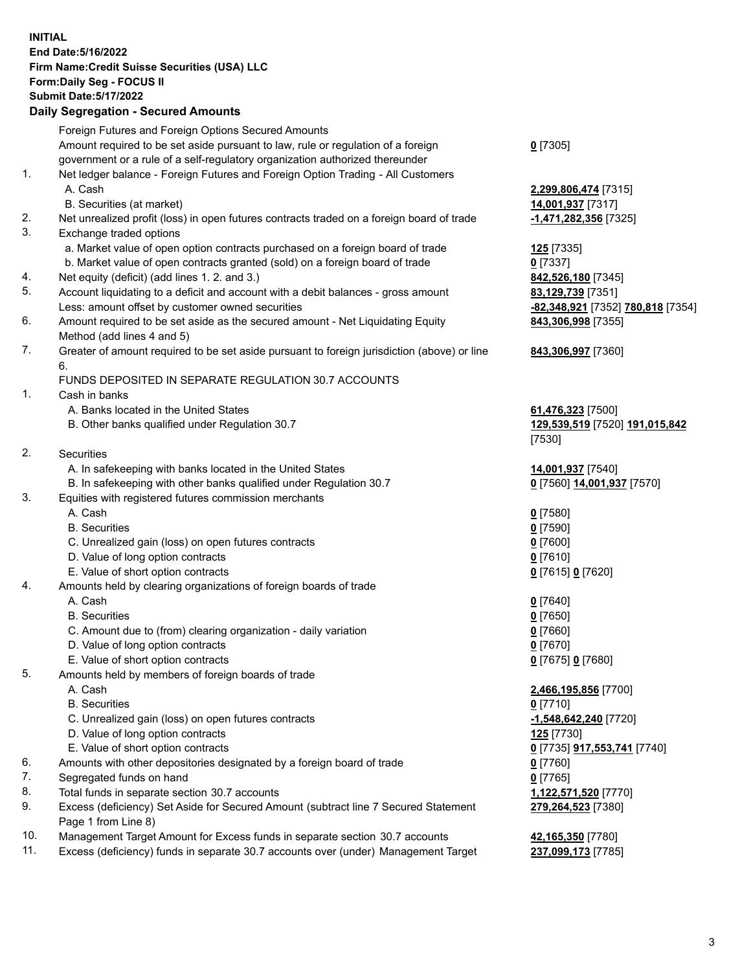**INITIAL End Date:5/16/2022 Firm Name:Credit Suisse Securities (USA) LLC Form:Daily Seg - FOCUS II Submit Date:5/17/2022**

## **Daily Segregation - Secured Amounts**

|     | Foreign Futures and Foreign Options Secured Amounts                                                        |                                                   |
|-----|------------------------------------------------------------------------------------------------------------|---------------------------------------------------|
|     | Amount required to be set aside pursuant to law, rule or regulation of a foreign                           | $0$ [7305]                                        |
|     | government or a rule of a self-regulatory organization authorized thereunder                               |                                                   |
| 1.  | Net ledger balance - Foreign Futures and Foreign Option Trading - All Customers                            |                                                   |
|     | A. Cash                                                                                                    | 2,299,806,474 [7315]                              |
|     | B. Securities (at market)                                                                                  | 14,001,937 [7317]                                 |
| 2.  | Net unrealized profit (loss) in open futures contracts traded on a foreign board of trade                  | -1,471,282,356 [7325]                             |
| 3.  | Exchange traded options                                                                                    |                                                   |
|     | a. Market value of open option contracts purchased on a foreign board of trade                             | 125 [7335]                                        |
|     | b. Market value of open contracts granted (sold) on a foreign board of trade                               | $0$ [7337]                                        |
| 4.  | Net equity (deficit) (add lines 1. 2. and 3.)                                                              | 842,526,180 [7345]                                |
| 5.  | Account liquidating to a deficit and account with a debit balances - gross amount                          | 83,129,739 [7351]                                 |
|     | Less: amount offset by customer owned securities                                                           | -82,348,921 [7352] 780,818 [7354]                 |
| 6.  | Amount required to be set aside as the secured amount - Net Liquidating Equity                             | 843,306,998 [7355]                                |
|     | Method (add lines 4 and 5)                                                                                 |                                                   |
| 7.  | Greater of amount required to be set aside pursuant to foreign jurisdiction (above) or line                | 843,306,997 [7360]                                |
|     | 6.                                                                                                         |                                                   |
|     | FUNDS DEPOSITED IN SEPARATE REGULATION 30.7 ACCOUNTS                                                       |                                                   |
| 1.  | Cash in banks                                                                                              |                                                   |
|     | A. Banks located in the United States                                                                      | 61,476,323 [7500]                                 |
|     | B. Other banks qualified under Regulation 30.7                                                             | 129,539,519 [7520] 191,015,842                    |
|     |                                                                                                            | [7530]                                            |
| 2.  | Securities                                                                                                 |                                                   |
|     | A. In safekeeping with banks located in the United States                                                  | 14,001,937 [7540]                                 |
|     | B. In safekeeping with other banks qualified under Regulation 30.7                                         | 0 [7560] 14,001,937 [7570]                        |
| 3.  | Equities with registered futures commission merchants                                                      |                                                   |
|     | A. Cash                                                                                                    | $0$ [7580]                                        |
|     | <b>B.</b> Securities                                                                                       | $0$ [7590]                                        |
|     | C. Unrealized gain (loss) on open futures contracts                                                        | $0$ [7600]                                        |
|     | D. Value of long option contracts                                                                          | $0$ [7610]                                        |
|     | E. Value of short option contracts                                                                         | 0 [7615] 0 [7620]                                 |
| 4.  | Amounts held by clearing organizations of foreign boards of trade                                          |                                                   |
|     | A. Cash                                                                                                    | $0$ [7640]                                        |
|     | <b>B.</b> Securities                                                                                       | $0$ [7650]                                        |
|     | C. Amount due to (from) clearing organization - daily variation                                            | $0$ [7660]                                        |
|     | D. Value of long option contracts                                                                          | $0$ [7670]                                        |
|     | E. Value of short option contracts                                                                         | 0 [7675] 0 [7680]                                 |
| 5.  | Amounts held by members of foreign boards of trade                                                         |                                                   |
|     | A. Cash                                                                                                    | 2,466,195,856 [7700]                              |
|     | <b>B.</b> Securities                                                                                       | $0$ [7710]                                        |
|     | C. Unrealized gain (loss) on open futures contracts                                                        | -1,548,642,240 [7720]                             |
|     | D. Value of long option contracts                                                                          | <b>125</b> [7730]                                 |
|     | E. Value of short option contracts                                                                         | 0 <sup>[7735]</sup> 917,553,741 <sup>[7740]</sup> |
| 6.  | Amounts with other depositories designated by a foreign board of trade                                     | $0$ [7760]                                        |
| 7.  | Segregated funds on hand                                                                                   | $0$ [7765]                                        |
| 8.  | Total funds in separate section 30.7 accounts                                                              | 1,122,571,520 [7770]                              |
| 9.  | Excess (deficiency) Set Aside for Secured Amount (subtract line 7 Secured Statement<br>Page 1 from Line 8) | 279,264,523 [7380]                                |
| 10. | Management Target Amount for Excess funds in separate section 30.7 accounts                                | 42,165,350 [7780]                                 |

11. Excess (deficiency) funds in separate 30.7 accounts over (under) Management Target **237,099,173** [7785]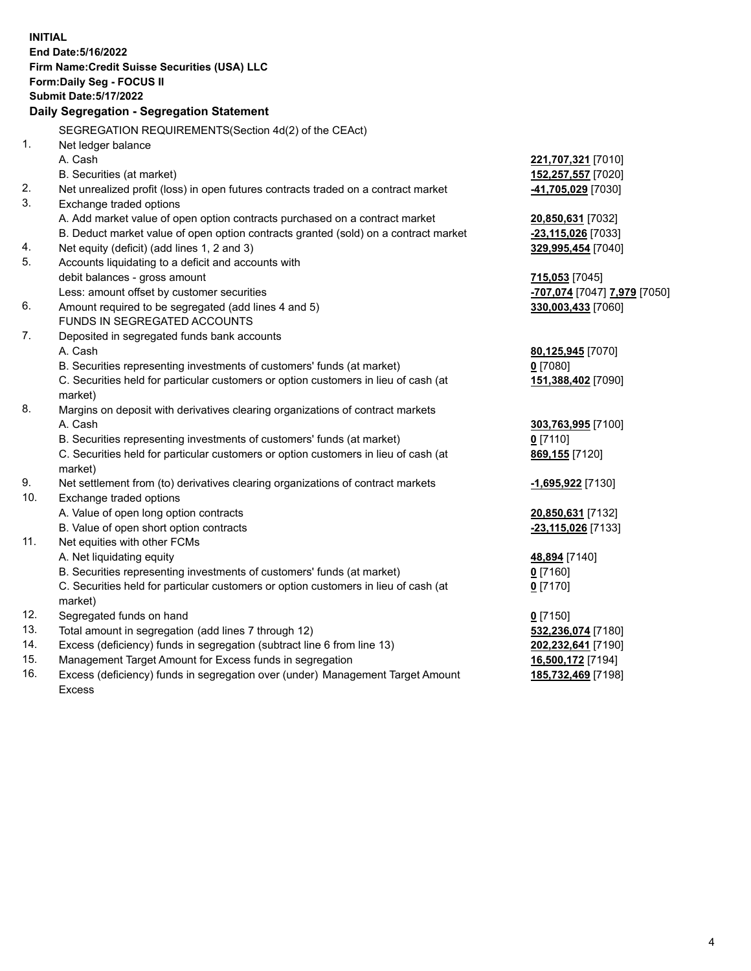|     | <b>INITIAL</b>                                                                                                |                                                        |
|-----|---------------------------------------------------------------------------------------------------------------|--------------------------------------------------------|
|     | End Date: 5/16/2022                                                                                           |                                                        |
|     | Firm Name: Credit Suisse Securities (USA) LLC                                                                 |                                                        |
|     | Form: Daily Seg - FOCUS II                                                                                    |                                                        |
|     | <b>Submit Date: 5/17/2022</b>                                                                                 |                                                        |
|     | Daily Segregation - Segregation Statement                                                                     |                                                        |
|     |                                                                                                               |                                                        |
|     | SEGREGATION REQUIREMENTS(Section 4d(2) of the CEAct)                                                          |                                                        |
| 1.  | Net ledger balance                                                                                            |                                                        |
|     | A. Cash                                                                                                       | 221,707,321 [7010]                                     |
| 2.  | B. Securities (at market)                                                                                     | 152,257,557 [7020]                                     |
| 3.  | Net unrealized profit (loss) in open futures contracts traded on a contract market<br>Exchange traded options | 41,705,029 [7030]                                      |
|     | A. Add market value of open option contracts purchased on a contract market                                   |                                                        |
|     | B. Deduct market value of open option contracts granted (sold) on a contract market                           | 20,850,631 [7032]<br>-23,115,026 [7033]                |
| 4.  | Net equity (deficit) (add lines 1, 2 and 3)                                                                   | 329,995,454 [7040]                                     |
| 5.  | Accounts liquidating to a deficit and accounts with                                                           |                                                        |
|     | debit balances - gross amount                                                                                 | 715,053 [7045]                                         |
|     | Less: amount offset by customer securities                                                                    | <mark>-707,074</mark> [7047] <mark>7,979</mark> [7050] |
| 6.  | Amount required to be segregated (add lines 4 and 5)                                                          | 330,003,433 [7060]                                     |
|     | <b>FUNDS IN SEGREGATED ACCOUNTS</b>                                                                           |                                                        |
| 7.  | Deposited in segregated funds bank accounts                                                                   |                                                        |
|     | A. Cash                                                                                                       | 80,125,945 [7070]                                      |
|     | B. Securities representing investments of customers' funds (at market)                                        | $0$ [7080]                                             |
|     | C. Securities held for particular customers or option customers in lieu of cash (at                           | 151,388,402 [7090]                                     |
|     | market)                                                                                                       |                                                        |
| 8.  | Margins on deposit with derivatives clearing organizations of contract markets                                |                                                        |
|     | A. Cash                                                                                                       | 303,763,995 [7100]                                     |
|     | B. Securities representing investments of customers' funds (at market)                                        | $0$ [7110]                                             |
|     | C. Securities held for particular customers or option customers in lieu of cash (at                           | 869,155 [7120]                                         |
|     | market)                                                                                                       |                                                        |
| 9.  | Net settlement from (to) derivatives clearing organizations of contract markets                               | -1,695,922 [7130]                                      |
| 10. | Exchange traded options                                                                                       |                                                        |
|     | A. Value of open long option contracts                                                                        | 20,850,631 [7132]                                      |
|     | B. Value of open short option contracts                                                                       | -23,115,026 [7133]                                     |
| 11. | Net equities with other FCMs                                                                                  |                                                        |
|     | A. Net liquidating equity                                                                                     | 48,894 [7140]                                          |
|     | B. Securities representing investments of customers' funds (at market)                                        | $0$ [7160]                                             |
|     | C. Securities held for particular customers or option customers in lieu of cash (at                           | $0$ [7170]                                             |
|     | market)                                                                                                       |                                                        |
| 12. | Segregated funds on hand                                                                                      | $0$ [7150]                                             |
| 13. | Total amount in segregation (add lines 7 through 12)                                                          | 532,236,074 [7180]                                     |
| 14. | Excess (deficiency) funds in segregation (subtract line 6 from line 13)                                       | 202,232,641 [7190]                                     |
| 15. | Management Target Amount for Excess funds in segregation                                                      | 16,500,172 [7194]                                      |
| 16. | Excess (deficiency) funds in segregation over (under) Management Target Amount                                | 185,732,469 [7198]                                     |
|     | <b>Excess</b>                                                                                                 |                                                        |